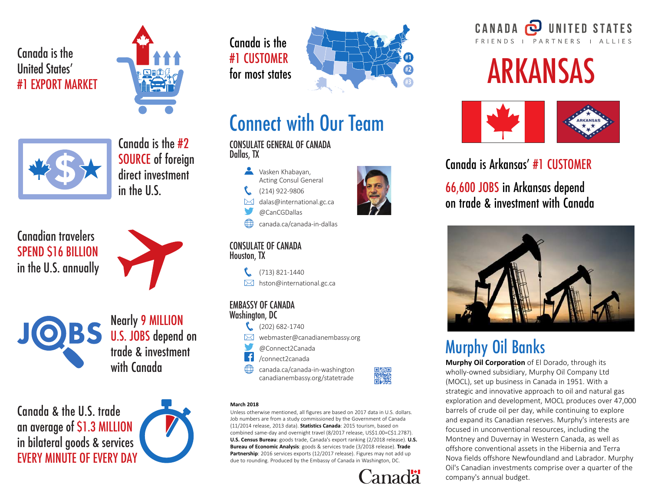### Canada is the United States' #1 EXPORT MARKET





Canada is the #2 SOURCE of foreign direct investment in the U.S.

Canadian travelers SPEND \$16 BILLION in the U.S. annually



Nearly 9 MILLION U.S. JOBS depend on trade & investment with Canada

Canada & the U.S. trade an average of \$1.3 MILLION in bilateral goods & services EVERY MINUTE OF EVERY DAY



Canada is the #1 CUSTOMER for most states



# Connect with Our Team

CONSULATE GENERAL OF CANADA Dallas, TX



dalas@international.gc.ca  $\boxtimes$ 

- @CanCGDallas
- canada.ca/canada-in-dallas

#### CONSULATE OF CANADA Houston, TX

 $\binom{2}{1}$  (713) 821-1440  $\boxtimes$  hston@international.gc.ca

#### EMBASSY OF CANADA Washington, DC



- $\boxtimes$  webmaster@canadianembassy.org
- @Connect2Canada
- $\vert f \vert$ /connect2canada

canada.ca/canada-in-washington canadianembassy.org/statetrade



#### **March 2018**

**Unless otherwise mentioned, all figures are based on 2017 data in U.S. dollars. Job numbers are from a study commissioned by the Government of Canada (11/2014 release, 2013 data). Statistics Canada: 2015 tourism, based on combined same-day and overnight travel (8/2017 release, US\$1.00=C\$1.2787). U.S. Census Bureau: goods trade, Canada's export ranking (2/2018 release). U.S. Bureau of Economic Analysis: goods & services trade (3/2018 release). Trade Partnership: 2016 services exports (12/2017 release). Figures may not add up due to rounding. Produced by the Embassy of Canada in Washington, DC.**



#### **UNITED STATES** CANADA FRIENDS | PARTNERS | ALLIES

# ARKANSAS



### Canada is Arkansas' #1 CUSTOMER

66,600 JOBS in Arkansas depend on trade & investment with Canada



# Murphy Oil Banks

**Murphy Oil Corporation of El Dorado, through its wholly-owned subsidiary, Murphy Oil Company Ltd (MOCL), set up business in Canada in 1951. With a strategic and innovative approach to oil and natural gas exploration and development, MOCL produces over 47,000 barrels of crude oil per day, while continuing to explore and expand its Canadian reserves. Murphy's interests are focused in unconventional resources, including the Montney and Duvernay in Western Canada, as well as offshore conventional assets in the Hibernia and Terra Nova fields offshore Newfoundland and Labrador. Murphy Oil's Canadian investments comprise over a quarter of the company's annual budget.**